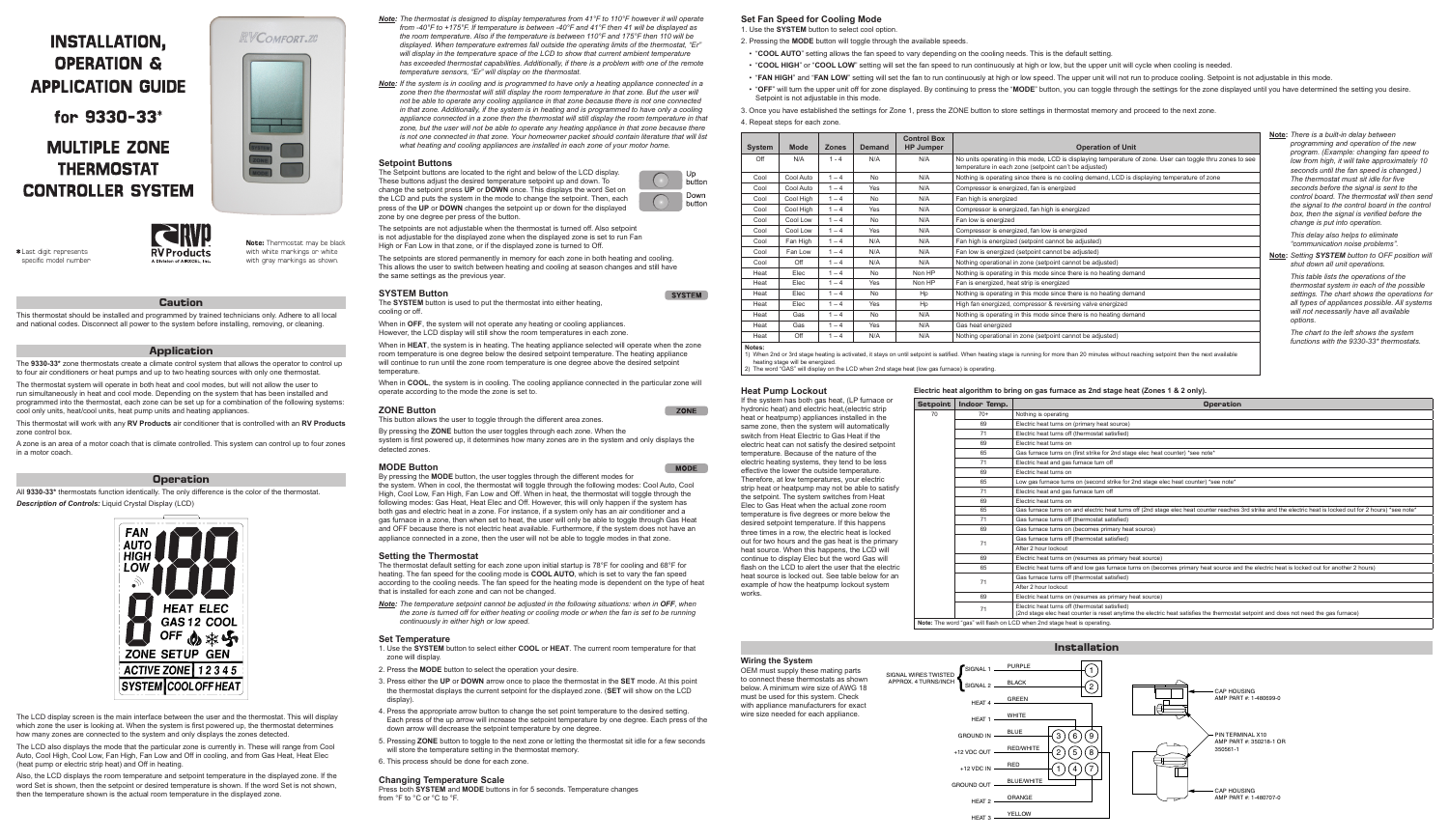# **INSTALLATION, OPERATION & APPLICATION GUIDE**

for 9330-33<sup>\*</sup>

# **MULTIPLE ZONE THERMOSTAT CONTROLLER SYSTEM**



*Note: The thermostat is designed to display temperatures from 41°F to 110°F however it will operate from -40°F to +175°F. If temperature is between -40°F and 41°F then 41 will be displayed as the room temperature. Also if the temperature is between 110°F and 175°F then 110 will be displayed. When temperature extremes fall outside the operating limits of the thermostat, "Er" will display in the temperature space of the LCD to show that current ambient temperature has exceeded thermostat capabilities. Additionally, if there is a problem with one of the remote temperature sensors, "Er" will display on the thermostat.*

*Note: If the system is in cooling and is programmed to have only a heating appliance connected in a zone then the thermostat will still display the room temperature in that zone. But the user will not be able to operate any cooling appliance in that zone because there is not one connected in that zone. Additionally, if the system is in heating and is programmed to have only a cooling appliance connected in a zone then the thermostat will still display the room temperature in that zone, but the user will not be able to operate any heating appliance in that zone because there is not one connected in that zone. Your homeowner packet should contain literature that will list what heating and cooling appliances are installed in each zone of your motor home.*

### **Setpoint Buttons**

When in **HEAT**, the system is in heating. The heating appliance selected will operate when the zone room temperature is one degree below the desired setpoint temperature. The heating appliance will continue to run until the zone room temperature is one degree above the desired setpoint temperature.

When in **COOL**, the system is in cooling. The cooling appliance connected in the particular zone will operate according to the mode the zone is set to.

The Setpoint buttons are located to the right and below of the LCD display. These buttons adjust the desired temperature setpoint up and down. To change the setpoint press **UP** or **DOWN** once. This displays the word Set on the LCD and puts the system in the mode to change the setpoint. Then, each press of the **UP** or **DOWN** changes the setpoint up or down for the displayed zone by one degree per press of the button.

The setpoints are not adjustable when the thermostat is turned off. Also setpoint is not adjustable for the displayed zone when the displayed zone is set to run Fan High or Fan Low in that zone, or if the displayed zone is turned to Off.

The setpoints are stored permanently in memory for each zone in both heating and cooling. This allows the user to switch between heating and cooling at season changes and still have the same settings as the previous year.

### **SYSTEM Button**

*Note:* The temperature setpoint cannot be adjusted in the following situations: when in OFF, when *the zone is turned off for either heating or cooling mode or when the fan is set to be running continuously in either high or low speed.*

The **SYSTEM** button is used to put the thermostat into either heating, cooling or off.

When in **OFF**, the system will not operate any heating or cooling appliances. However, the LCD display will still show the room temperatures in each zone.

### **ZONE Button**

This button allows the user to toggle through the different area zones.

By pressing the **ZONE** button the user toggles through each zone. When the system is first powered up, it determines how many zones are in the system and only displays the detected zones.

### **MODE Button**

By pressing the **MODE** button, the user toggles through the different modes for the system. When in cool, the thermostat will toggle through the following modes: Cool Auto, Cool High, Cool Low, Fan High, Fan Low and Off. When in heat, the thermostat will toggle through the following modes: Gas Heat, Heat Elec and Off. However, this will only happen if the system has both gas and electric heat in a zone. For instance, if a system only has an air conditioner and a gas furnace in a zone, then when set to heat, the user will only be able to toggle through Gas Heat and OFF because there is not electric heat available. Furthermore, if the system does not have an appliance connected in a zone, then the user will not be able to toggle modes in that zone.

### **Setting the Thermostat**

The thermostat default setting for each zone upon initial startup is 78°F for cooling and 68°F for heating. The fan speed for the cooling mode is **COOL AUTO**, which is set to vary the fan speed according to the cooling needs. The fan speed for the heating mode is dependent on the type of heat that is installed for each zone and can not be changed.

### **Set Temperature**

- 1. Use the **SYSTEM** button to select either **COOL** or **HEAT**. The current room temperature for that zone will display.
- 2. Press the **MODE** button to select the operation your desire.
- 3. Press either the **UP** or **DOWN** arrow once to place the thermostat in the **SET** mode. At this point the thermostat displays the current setpoint for the displayed zone. (**SET** will show on the LCD display).
- 4. Press the appropriate arrow button to change the set point temperature to the desired setting. Each press of the up arrow will increase the setpoint temperature by one degree. Each press of the down arrow will decrease the setpoint temperature by one degree.
- 5. Pressing ZONE button to toggle to the next zone or letting the thermostat sit idle for a few seconds will store the temperature setting in the thermostat memory.
- 6. This process should be done for each zone.

If the system has both ga hydronic heat) and electric heat or heatpump) applia same zone, then the system switch from Heat Electric electric heat can not satis temperature. Because of electric heating systems, effective the lower the out Therefore, at low temper strip heat or heatpump m the setpoint. The system Elec to Gas Heat when th temperature is five degree desired setpoint temperat three times in a row, the out for two hours and the heat source. When this h continue to display Elec flash on the LCD to alert heat source is locked out example of how the heat works.

### **Changing Temperature Scale**

Press both **SYSTEM** and **MODE** buttons in for 5 seconds. Temperature changes from °F to °C or °C to °F.

**Note:** Thermostat may be black **RV Products** with white markings or white with gray markings as shown.



**Caution**

This thermostat should be installed and programmed by trained technicians only. Adhere to all local and national codes. Disconnect all power to the system before installing, removing, or cleaning.

### **Application**

### **Set Fan Speed for Cooling Mode** 1. Use the **SYSTEM** button to select cool option.

The **9330-33\*** zone thermostats create a climate control system that allows the operator to control up to four air conditioners or heat pumps and up to two heating sources with only one thermostat.

The thermostat system will operate in both heat and cool modes, but will not allow the user to run simultaneously in heat and cool mode. Depending on the system that has been installed and programmed into the thermostat, each zone can be set up for a combination of the following systems: cool only units, heat/cool units, heat pump units and heating appliances.

- 
- 
- 
- Setpoint is not adjustable in this mode.
- 
- 4. Repeat steps for each zone.

button

Down buttor

SYSTEM

**ZONE** 

**MODE** 

This thermostat will work with any **RV Products** air conditioner that is controlled with an **RV Products** zone control box.

A zone is an area of a motor coach that is climate controlled. This system can control up to four zones in a motor coach.

### **Operation**

All **9330-33\*** thermostats function identically. The only difference is the color of the thermostat. *Description of Controls:* Liquid Crystal Display (LCD)



The LCD display screen is the main interface between the user and the thermostat. This will display which zone the user is looking at. When the system is first powered up, the thermostat determines how many zones are connected to the system and only displays the zones detected.

The LCD also displays the mode that the particular zone is currently in. These will range from Cool Auto, Cool High, Cool Low, Fan High, Fan Low and Off in cooling, and from Gas Heat, Heat Elec (heat pump or electric strip heat) and Off in heating.

Also, the LCD displays the room temperature and setpoint temperature in the displayed zone. If the word Set is shown, then the setpoint or desired temperature is shown. If the word Set is not shown, then the temperature shown is the actual room temperature in the displayed zone.

|                                                   |                 |              | Livenie noat algoritmii to bring on gas farnaco as Liiu stago noat (Lonos T & L Only).                                                                                                 |
|---------------------------------------------------|-----------------|--------------|----------------------------------------------------------------------------------------------------------------------------------------------------------------------------------------|
| as heat, (LP furnace or                           | <b>Setpoint</b> | Indoor Temp. | <b>Operation</b>                                                                                                                                                                       |
| ic heat (electric strip<br>ances installed in the | 70              | $70+$        | Nothing is operating                                                                                                                                                                   |
| tem will automatically                            |                 | 69           | Electric heat turns on (primary heat source)                                                                                                                                           |
| to Gas Heat if the :                              |                 | 71           | Electric heat turns off (thermostat satisfied)                                                                                                                                         |
| sfy the desired setpoint                          |                 | 69           | Electric heat turns on                                                                                                                                                                 |
| the nature of the                                 |                 | 65           | Gas furnace turns on (first strike for 2nd stage elec heat counter) *see note*                                                                                                         |
| they tend to be less                              |                 | 71           | Electric heat and gas furnace turn off                                                                                                                                                 |
| itside temperature.                               |                 | 69           | Electric heat turns on                                                                                                                                                                 |
| atures, your electric                             |                 | 65           | Low gas furnace turns on (second strike for 2nd stage elec heat counter) *see note*                                                                                                    |
| ay not be able to satisfy                         |                 | 71           | Electric heat and gas furnace turn off                                                                                                                                                 |
| switches from Heat                                |                 | 69           | Electric heat turns on                                                                                                                                                                 |
| he actual zone room<br>es or more below the:      |                 | 65           | Gas furnace turns on and electric heat turns off (2nd stage elec heat counter reaches 3rd strike and the electric heat is locked out for 2 hours) *see note*                           |
| ture. If this happens                             |                 | 71           | Gas furnace turns off (thermostat satisfied)                                                                                                                                           |
| electric heat is locked                           |                 | 69           | Gas furnace turns on (becomes primary heat source)                                                                                                                                     |
| gas heat is the primary                           |                 | 71           | Gas furnace turns off (thermostat satisfied)                                                                                                                                           |
| appens, the LCD will                              |                 |              | After 2 hour lockout                                                                                                                                                                   |
| but the word Gas will                             |                 | 69           | Electric heat turns on (resumes as primary heat source)                                                                                                                                |
| the user that the electric                        |                 | 65           | Electric heat turns off and low gas furnace turns on (becomes primary heat source and the electric heat is locked out for another 2 hours)                                             |
| t. See table below for an<br>pump lockout system  |                 | 71           | Gas furnace turns off (thermostat satisfied)                                                                                                                                           |
|                                                   |                 |              | After 2 hour lockout                                                                                                                                                                   |
|                                                   |                 | 69           | Electric heat turns on (resumes as primary heat source)                                                                                                                                |
|                                                   |                 | 71           | Electric heat turns off (thermostat satisfied)<br>(2nd stage elec heat counter is reset anytime the electric heat satisfies the thermostat setpoint and does not need the gas furnace) |
|                                                   |                 |              | Netter The moral final will flagh and CD misses Onlinear head in consideration.                                                                                                        |

**Note:** The word "gas" will flash on LCD when 2nd stage heat is operating.

## **Heat Pump Lockout Electric heat algorithm to bring on gas furnace as 2nd stage heat (Zones 1 & 2 only).**

| <b>System</b> | <b>Mode</b> | <b>Zones</b> | <b>Demand</b> | <b>Control Box</b><br><b>HP Jumper</b> | <b>Operation of Unit</b>                                                                                                                                           |
|---------------|-------------|--------------|---------------|----------------------------------------|--------------------------------------------------------------------------------------------------------------------------------------------------------------------|
| Off           | N/A         | $1 - 4$      | N/A           | N/A                                    | No units operating in this mode, LCD is displaying temperature of zone. User can toggle thru zones to see<br>temperature in each zone (setpoint can't be adjusted) |
| Cool          | Cool Auto   | $1 - 4$      | <b>No</b>     | N/A                                    | Nothing is operating since there is no cooling demand, LCD is displaying temperature of zone                                                                       |
| Cool          | Cool Auto   | $1 - 4$      | Yes           | N/A                                    | Compressor is energized, fan is energized                                                                                                                          |
| Cool          | Cool High   | $1 - 4$      | <b>No</b>     | N/A                                    | Fan high is energized                                                                                                                                              |
| Cool          | Cool High   | $1 - 4$      | Yes           | N/A                                    | Compressor is energized, fan high is energized                                                                                                                     |
| Cool          | Cool Low    | $1 - 4$      | <b>No</b>     | N/A                                    | Fan low is energized                                                                                                                                               |
| Cool          | Cool Low    | $1 - 4$      | Yes           | N/A                                    | Compressor is energized, fan low is energized                                                                                                                      |
| Cool          | Fan High    | $1 - 4$      | N/A           | N/A                                    | Fan high is energized (setpoint cannot be adjusted)                                                                                                                |
| Cool          | Fan Low     | $1 - 4$      | N/A           | N/A                                    | Fan low is energized (setpoint cannot be adjusted)                                                                                                                 |
| Cool          | Off         | $1 - 4$      | N/A           | N/A                                    | Nothing operational in zone (setpoint cannot be adjusted)                                                                                                          |
| Heat          | Elec        | $1 - 4$      | <b>No</b>     | Non HP                                 | Nothing is operating in this mode since there is no heating demand                                                                                                 |
| Heat          | Elec        | $1 - 4$      | <b>Yes</b>    | Non HP                                 | Fan is energized, heat strip is energized                                                                                                                          |
| Heat          | Elec        | $1 - 4$      | <b>No</b>     | Hp                                     | Nothing is operating in this mode since there is no heating demand                                                                                                 |
| Heat          | Elec        | $1 - 4$      | Yes           | Hp                                     | High fan energized, compressor & reversing valve energized                                                                                                         |
| Heat          | Gas         | $1 - 4$      | <b>No</b>     | N/A                                    | Nothing is operating in this mode since there is no heating demand                                                                                                 |
| Heat          | Gas         | $1 - 4$      | Yes           | N/A                                    | Gas heat energized                                                                                                                                                 |
| Heat          | Off         | $1 - 4$      | N/A           | N/A                                    | Nothing operational in zone (setpoint cannot be adjusted)                                                                                                          |

**Notes:** heating stage will be energized.

3. Once you have established the settings for Zone 1, press the ZONE button to store settings in thermostat memory and proceed to the next zone.

**Note:** *There is a built-in delay between programming and operation of the new program. (Example: changing fan speed to low from high, it will take approximately 10 seconds until the fan speed is changed.) The thermostat must sit idle for five seconds before the signal is sent to the control board. The thermostat will then send the signal to the control board in the control box, then the signal is verified before the change is put into operation.*

> *This delay also helps to eliminate "communication noise problems".*

**Note:** *Setting SYSTEM button to OFF position will shut down all unit operations.*

> *This table lists the operations of the thermostat system in each of the possible settings. The chart shows the operations for all types of appliances possible. All systems will not necessarily have all available options.*

*The chart to the left shows the system functions with the 9330-33\* thermostats.*

) When 2nd or 3rd stage heating is activated, it stays on until setpoint is satified. When heating stage is running for more than 20 minutes without reaching setpoint then the next available The word "GAS" will display on the LCD when 2nd stage heat (low gas furnace) is operating.

## **Wiring the System**

OEM must supply these mating parts to connect these thermostats as shown below. A minimum wire size of AWG 18 must be used for this system. Check with appliance manufacturers for exact wire size needed for each appliance.

2. Pressing the **MODE** button will toggle through the available speeds.

• "COOL AUTO" setting allows the fan speed to vary depending on the cooling needs. This is the default setting.

• "COOL HIGH" or "COOL LOW" setting will set the fan speed to run continuously at high or low, but the upper unit will cycle when cooling is needed.

• "FAN HIGH" and "FAN LOW" setting will set the fan to run continuously at high or low speed. The upper unit will not run to produce cooling. Setpoint is not adjustable in this mode.

• "OFF" will turn the upper unit off for zone displayed. By continuing to press the "MODE" button, you can toggle through the settings for the zone displayed until you have determined the setting you desire.